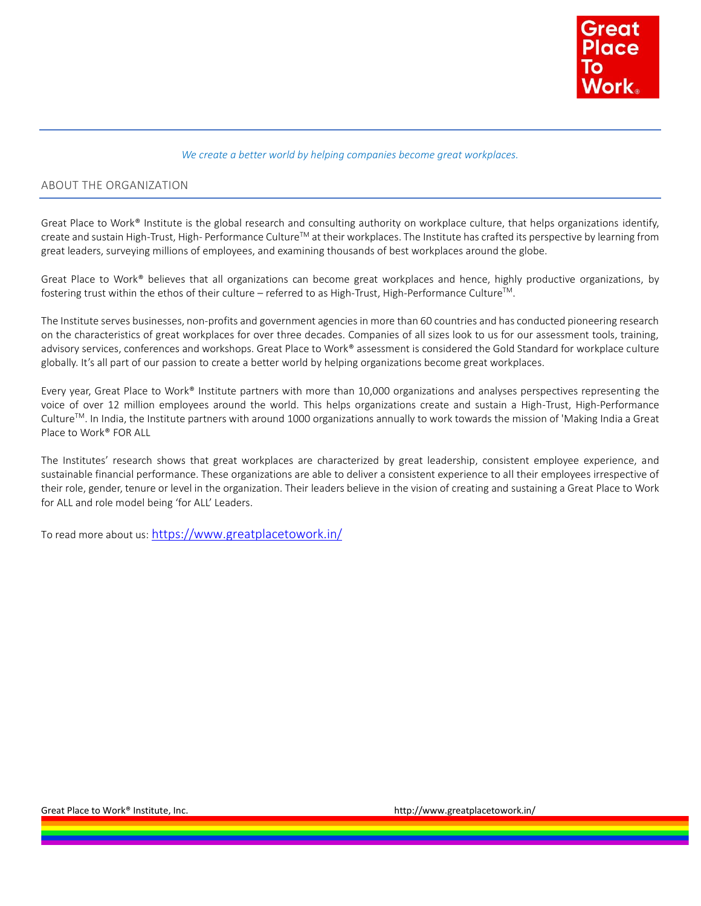

#### *We create a better world by helping companies become great workplaces.*

## ABOUT THE ORGANIZATION

Great Place to Work® Institute is the global research and consulting authority on workplace culture, that helps organizations identify, create and sustain High-Trust, High- Performance Culture<sup>™</sup> at their workplaces. The Institute has crafted its perspective by learning from great leaders, surveying millions of employees, and examining thousands of best workplaces around the globe.

Great Place to Work® believes that all organizations can become great workplaces and hence, highly productive organizations, by fostering trust within the ethos of their culture – referred to as High-Trust, High-Performance Culture<sup>™</sup>.

The Institute serves businesses, non-profits and government agencies in more than 60 countries and has conducted pioneering research on the characteristics of great workplaces for over three decades. Companies of all sizes look to us for our assessment tools, training, advisory services, conferences and workshops. Great Place to Work® assessment is considered the Gold Standard for workplace culture globally. It's all part of our passion to create a better world by helping organizations become great workplaces.

Every year, Great Place to Work® Institute partners with more than 10,000 organizations and analyses perspectives representing the voice of over 12 million employees around the world. This helps organizations create and sustain a High-Trust, High-Performance CultureTM. In India, the Institute partners with around 1000 organizations annually to work towards the mission of 'Making India a Great Place to Work® FOR ALL

The Institutes' research shows that great workplaces are characterized by great leadership, consistent employee experience, and sustainable financial performance. These organizations are able to deliver a consistent experience to all their employees irrespective of their role, gender, tenure or level in the organization. Their leaders believe in the vision of creating and sustaining a Great Place to Work for ALL and role model being 'for ALL' Leaders.

To read more about us: <https://www.greatplacetowork.in/>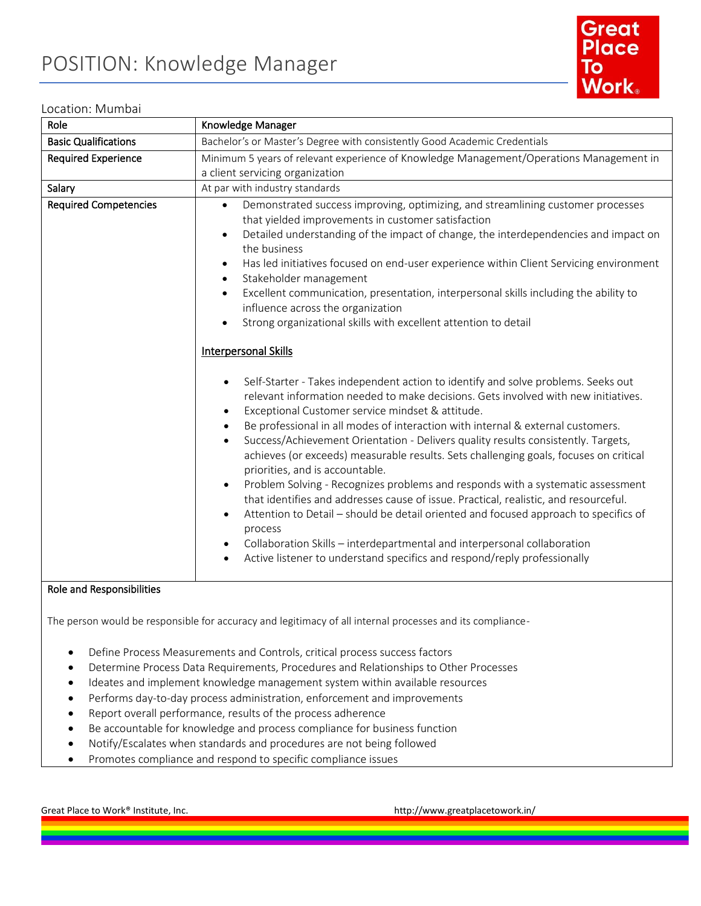

# Location: Mumbai

| Role                         | Knowledge Manager                                                                                                                                                                                                                                                                                                                                                                                                                                                                                                                                                                                                                                                                                                                                                                                                                                                                                                                                                                                                                                                                                                                                                                                                                                                                                                                                                                                                                                                                                                                                                                                                                                                                                  |
|------------------------------|----------------------------------------------------------------------------------------------------------------------------------------------------------------------------------------------------------------------------------------------------------------------------------------------------------------------------------------------------------------------------------------------------------------------------------------------------------------------------------------------------------------------------------------------------------------------------------------------------------------------------------------------------------------------------------------------------------------------------------------------------------------------------------------------------------------------------------------------------------------------------------------------------------------------------------------------------------------------------------------------------------------------------------------------------------------------------------------------------------------------------------------------------------------------------------------------------------------------------------------------------------------------------------------------------------------------------------------------------------------------------------------------------------------------------------------------------------------------------------------------------------------------------------------------------------------------------------------------------------------------------------------------------------------------------------------------------|
| <b>Basic Qualifications</b>  | Bachelor's or Master's Degree with consistently Good Academic Credentials                                                                                                                                                                                                                                                                                                                                                                                                                                                                                                                                                                                                                                                                                                                                                                                                                                                                                                                                                                                                                                                                                                                                                                                                                                                                                                                                                                                                                                                                                                                                                                                                                          |
| <b>Required Experience</b>   | Minimum 5 years of relevant experience of Knowledge Management/Operations Management in<br>a client servicing organization                                                                                                                                                                                                                                                                                                                                                                                                                                                                                                                                                                                                                                                                                                                                                                                                                                                                                                                                                                                                                                                                                                                                                                                                                                                                                                                                                                                                                                                                                                                                                                         |
| Salary                       | At par with industry standards                                                                                                                                                                                                                                                                                                                                                                                                                                                                                                                                                                                                                                                                                                                                                                                                                                                                                                                                                                                                                                                                                                                                                                                                                                                                                                                                                                                                                                                                                                                                                                                                                                                                     |
| <b>Required Competencies</b> | Demonstrated success improving, optimizing, and streamlining customer processes<br>$\bullet$<br>that yielded improvements in customer satisfaction<br>Detailed understanding of the impact of change, the interdependencies and impact on<br>$\bullet$<br>the business<br>Has led initiatives focused on end-user experience within Client Servicing environment<br>$\bullet$<br>Stakeholder management<br>$\bullet$<br>Excellent communication, presentation, interpersonal skills including the ability to<br>$\bullet$<br>influence across the organization<br>Strong organizational skills with excellent attention to detail<br><b>Interpersonal Skills</b><br>Self-Starter - Takes independent action to identify and solve problems. Seeks out<br>relevant information needed to make decisions. Gets involved with new initiatives.<br>Exceptional Customer service mindset & attitude.<br>$\bullet$<br>Be professional in all modes of interaction with internal & external customers.<br>$\bullet$<br>Success/Achievement Orientation - Delivers quality results consistently. Targets,<br>$\bullet$<br>achieves (or exceeds) measurable results. Sets challenging goals, focuses on critical<br>priorities, and is accountable.<br>Problem Solving - Recognizes problems and responds with a systematic assessment<br>that identifies and addresses cause of issue. Practical, realistic, and resourceful.<br>Attention to Detail - should be detail oriented and focused approach to specifics of<br>$\bullet$<br>process<br>Collaboration Skills - interdepartmental and interpersonal collaboration<br>Active listener to understand specifics and respond/reply professionally<br>٠ |
| Role and Responsibilities    |                                                                                                                                                                                                                                                                                                                                                                                                                                                                                                                                                                                                                                                                                                                                                                                                                                                                                                                                                                                                                                                                                                                                                                                                                                                                                                                                                                                                                                                                                                                                                                                                                                                                                                    |

The person would be responsible for accuracy and legitimacy of all internal processes and its compliance-

- Define Process Measurements and Controls, critical process success factors
- Determine Process Data Requirements, Procedures and Relationships to Other Processes
- Ideates and implement knowledge management system within available resources
- Performs day-to-day process administration, enforcement and improvements
- Report overall performance, results of the process adherence
- Be accountable for knowledge and process compliance for business function
- Notify/Escalates when standards and procedures are not being followed
- Promotes compliance and respond to specific compliance issues